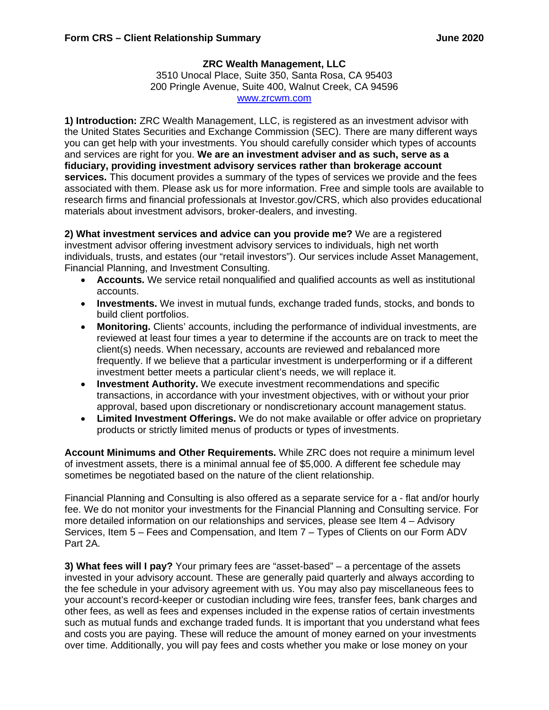## **ZRC Wealth Management, LLC**

3510 Unocal Place, Suite 350, Santa Rosa, CA 95403 200 Pringle Avenue, Suite 400, Walnut Creek, CA 94596 [www.zrcwm.com](http://www.zrcwm.com/)

**1) Introduction:** ZRC Wealth Management, LLC, is registered as an investment advisor with the United States Securities and Exchange Commission (SEC). There are many different ways you can get help with your investments. You should carefully consider which types of accounts and services are right for you. **We are an investment adviser and as such, serve as a fiduciary, providing investment advisory services rather than brokerage account services.** This document provides a summary of the types of services we provide and the fees associated with them. Please ask us for more information. Free and simple tools are available to research firms and financial professionals at Investor.gov/CRS, which also provides educational materials about investment advisors, broker-dealers, and investing.

**2) What investment services and advice can you provide me?** We are a registered investment advisor offering investment advisory services to individuals, high net worth individuals, trusts, and estates (our "retail investors"). Our services include Asset Management, Financial Planning, and Investment Consulting.

- **Accounts.** We service retail nonqualified and qualified accounts as well as institutional accounts.
- **Investments.** We invest in mutual funds, exchange traded funds, stocks, and bonds to build client portfolios.
- **Monitoring.** Clients' accounts, including the performance of individual investments, are reviewed at least four times a year to determine if the accounts are on track to meet the client(s) needs. When necessary, accounts are reviewed and rebalanced more frequently. If we believe that a particular investment is underperforming or if a different investment better meets a particular client's needs, we will replace it.
- **Investment Authority.** We execute investment recommendations and specific transactions, in accordance with your investment objectives, with or without your prior approval, based upon discretionary or nondiscretionary account management status.
- **Limited Investment Offerings.** We do not make available or offer advice on proprietary products or strictly limited menus of products or types of investments.

**Account Minimums and Other Requirements.** While ZRC does not require a minimum level of investment assets, there is a minimal annual fee of \$5,000. A different fee schedule may sometimes be negotiated based on the nature of the client relationship.

Financial Planning and Consulting is also offered as a separate service for a - flat and/or hourly fee. We do not monitor your investments for the Financial Planning and Consulting service. For more detailed information on our relationships and services, please see Item 4 – Advisory Services, Item 5 – Fees and Compensation, and Item 7 – Types of Clients on our Form ADV Part 2A.

**3) What fees will I pay?** Your primary fees are "asset-based" – a percentage of the assets invested in your advisory account. These are generally paid quarterly and always according to the fee schedule in your advisory agreement with us. You may also pay miscellaneous fees to your account's record-keeper or custodian including wire fees, transfer fees, bank charges and other fees, as well as fees and expenses included in the expense ratios of certain investments such as mutual funds and exchange traded funds. It is important that you understand what fees and costs you are paying. These will reduce the amount of money earned on your investments over time. Additionally, you will pay fees and costs whether you make or lose money on your